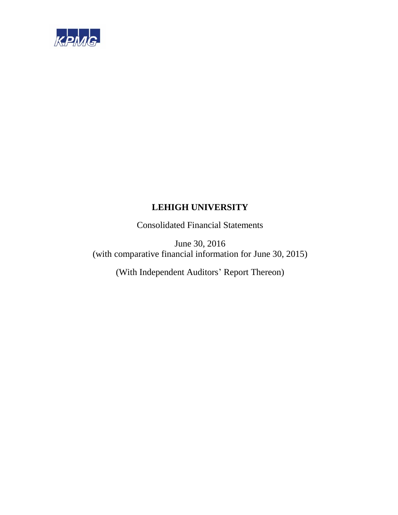

Consolidated Financial Statements

June 30, 2016 (with comparative financial information for June 30, 2015)

(With Independent Auditors' Report Thereon)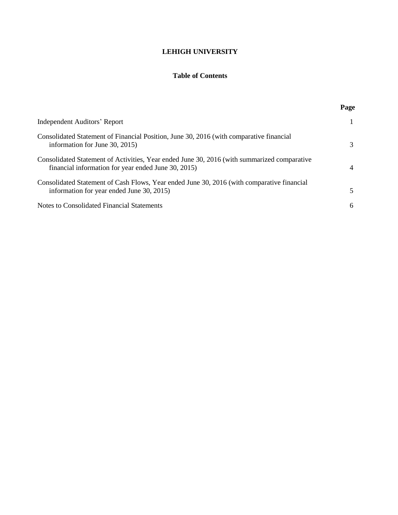# **Table of Contents**

|                                                                                                                                                    | Page           |
|----------------------------------------------------------------------------------------------------------------------------------------------------|----------------|
| Independent Auditors' Report                                                                                                                       |                |
| Consolidated Statement of Financial Position, June 30, 2016 (with comparative financial<br>information for June $30, 2015$ )                       | 3              |
| Consolidated Statement of Activities, Year ended June 30, 2016 (with summarized comparative<br>financial information for year ended June 30, 2015) | $\overline{4}$ |
| Consolidated Statement of Cash Flows, Year ended June 30, 2016 (with comparative financial<br>information for year ended June 30, 2015)            | 5.             |
| Notes to Consolidated Financial Statements                                                                                                         | 6              |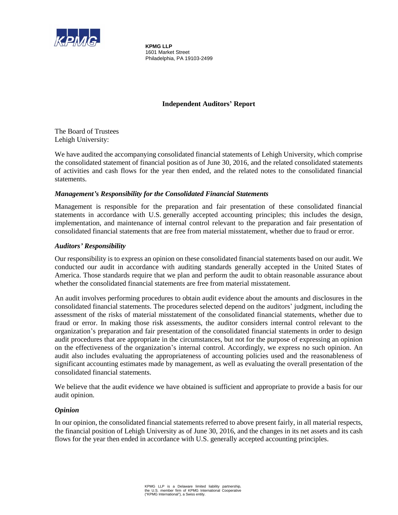

**KPMG LLP**  1601 Market Street Philadelphia, PA 19103-2499

# **Independent Auditors' Report**

The Board of Trustees Lehigh University:

We have audited the accompanying consolidated financial statements of Lehigh University, which comprise the consolidated statement of financial position as of June 30, 2016, and the related consolidated statements of activities and cash flows for the year then ended, and the related notes to the consolidated financial statements.

# *Management's Responsibility for the Consolidated Financial Statements*

Management is responsible for the preparation and fair presentation of these consolidated financial statements in accordance with U.S. generally accepted accounting principles; this includes the design, implementation, and maintenance of internal control relevant to the preparation and fair presentation of consolidated financial statements that are free from material misstatement, whether due to fraud or error.

# *Auditors' Responsibility*

Our responsibility is to express an opinion on these consolidated financial statements based on our audit. We conducted our audit in accordance with auditing standards generally accepted in the United States of America. Those standards require that we plan and perform the audit to obtain reasonable assurance about whether the consolidated financial statements are free from material misstatement.

An audit involves performing procedures to obtain audit evidence about the amounts and disclosures in the consolidated financial statements. The procedures selected depend on the auditors' judgment, including the assessment of the risks of material misstatement of the consolidated financial statements, whether due to fraud or error. In making those risk assessments, the auditor considers internal control relevant to the organization's preparation and fair presentation of the consolidated financial statements in order to design audit procedures that are appropriate in the circumstances, but not for the purpose of expressing an opinion on the effectiveness of the organization's internal control. Accordingly, we express no such opinion. An audit also includes evaluating the appropriateness of accounting policies used and the reasonableness of significant accounting estimates made by management, as well as evaluating the overall presentation of the consolidated financial statements.

We believe that the audit evidence we have obtained is sufficient and appropriate to provide a basis for our audit opinion.

# *Opinion*

In our opinion, the consolidated financial statements referred to above present fairly, in all material respects, the financial position of Lehigh University as of June 30, 2016, and the changes in its net assets and its cash flows for the year then ended in accordance with U.S. generally accepted accounting principles.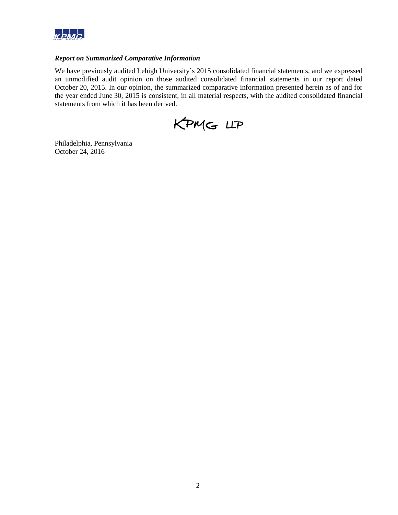

# *Report on Summarized Comparative Information*

We have previously audited Lehigh University's 2015 consolidated financial statements, and we expressed an unmodified audit opinion on those audited consolidated financial statements in our report dated October 20, 2015. In our opinion, the summarized comparative information presented herein as of and for the year ended June 30, 2015 is consistent, in all material respects, with the audited consolidated financial statements from which it has been derived.

KPMG LLP

Philadelphia, Pennsylvania October 24, 2016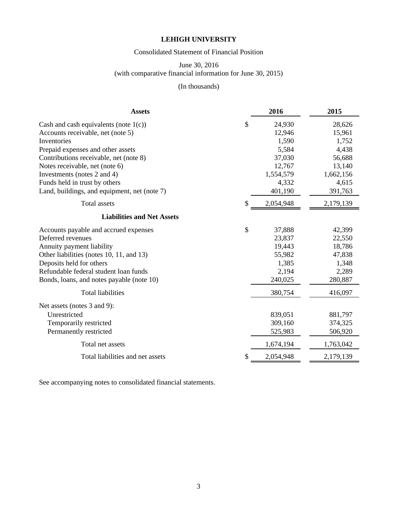## Consolidated Statement of Financial Position

June 30, 2016

(with comparative financial information for June 30, 2015)

(In thousands)

| <b>Assets</b>                                |                           | 2016      | 2015      |
|----------------------------------------------|---------------------------|-----------|-----------|
| Cash and cash equivalents (note $1(c)$ )     | $\boldsymbol{\mathsf{S}}$ | 24,930    | 28,626    |
| Accounts receivable, net (note 5)            |                           | 12,946    | 15,961    |
| Inventories                                  |                           | 1,590     | 1,752     |
| Prepaid expenses and other assets            |                           | 5,584     | 4,438     |
| Contributions receivable, net (note 8)       |                           | 37,030    | 56,688    |
| Notes receivable, net (note 6)               |                           | 12,767    | 13,140    |
| Investments (notes 2 and 4)                  |                           | 1,554,579 | 1,662,156 |
| Funds held in trust by others                |                           | 4,332     | 4,615     |
| Land, buildings, and equipment, net (note 7) |                           | 401,190   | 391,763   |
| <b>Total assets</b>                          | \$                        | 2,054,948 | 2,179,139 |
| <b>Liabilities and Net Assets</b>            |                           |           |           |
| Accounts payable and accrued expenses        | $\boldsymbol{\mathsf{S}}$ | 37,888    | 42,399    |
| Deferred revenues                            |                           | 23,837    | 22,550    |
| Annuity payment liability                    |                           | 19,443    | 18,786    |
| Other liabilities (notes 10, 11, and 13)     |                           | 55,982    | 47,838    |
| Deposits held for others                     |                           | 1,385     | 1,348     |
| Refundable federal student loan funds        |                           | 2,194     | 2,289     |
| Bonds, loans, and notes payable (note 10)    |                           | 240,025   | 280,887   |
| <b>Total liabilities</b>                     |                           | 380,754   | 416,097   |
| Net assets (notes 3 and 9):                  |                           |           |           |
| Unrestricted                                 |                           | 839,051   | 881,797   |
| Temporarily restricted                       |                           | 309,160   | 374,325   |
| Permanently restricted                       |                           | 525,983   | 506,920   |
| Total net assets                             |                           | 1,674,194 | 1,763,042 |
| Total liabilities and net assets             | \$                        | 2,054,948 | 2,179,139 |

See accompanying notes to consolidated financial statements.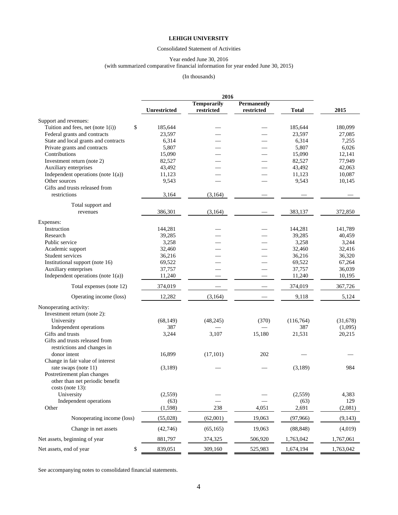#### Consolidated Statement of Activities

Year ended June 30, 2016

(with summarized comparative financial information for year ended June 30, 2015)

(In thousands)

|                                            |                     | 2016               |                    |              |           |
|--------------------------------------------|---------------------|--------------------|--------------------|--------------|-----------|
|                                            |                     | <b>Temporarily</b> | <b>Permanently</b> |              |           |
|                                            | <b>Unrestricted</b> | restricted         | restricted         | <b>Total</b> | 2015      |
| Support and revenues:                      |                     |                    |                    |              |           |
| Tuition and fees, net (note $1(i)$ )<br>\$ | 185,644             |                    |                    | 185,644      | 180,099   |
| Federal grants and contracts               | 23,597              |                    |                    | 23,597       | 27,085    |
| State and local grants and contracts       | 6,314               |                    |                    | 6,314        | 7,255     |
| Private grants and contracts               | 5,807               |                    |                    | 5,807        | 6,026     |
| Contributions                              | 15,090              |                    |                    | 15,090       | 12,141    |
| Investment return (note 2)                 | 82,527              |                    |                    | 82,527       | 77,949    |
| Auxiliary enterprises                      | 43,492              |                    |                    | 43,492       | 42,063    |
| Independent operations (note $1(a)$ )      | 11,123              |                    |                    | 11,123       | 10,087    |
| Other sources                              | 9,543               |                    |                    | 9,543        | 10,145    |
| Gifts and trusts released from             |                     |                    |                    |              |           |
| restrictions                               | 3,164               | (3,164)            |                    |              |           |
| Total support and                          |                     |                    |                    |              |           |
| revenues                                   | 386,301             | (3,164)            |                    | 383,137      | 372,850   |
|                                            |                     |                    |                    |              |           |
| Expenses:                                  |                     |                    |                    |              |           |
| Instruction                                | 144,281             |                    |                    | 144,281      | 141,789   |
| Research                                   | 39,285              |                    |                    | 39,285       | 40,459    |
| Public service                             | 3,258               |                    |                    | 3,258        | 3,244     |
| Academic support                           | 32,460              |                    |                    | 32,460       | 32,416    |
| Student services                           | 36,216              |                    |                    | 36,216       | 36,320    |
| Institutional support (note 16)            | 69,522              |                    |                    | 69,522       | 67,264    |
| Auxiliary enterprises                      | 37,757              |                    |                    | 37,757       | 36,039    |
| Independent operations (note $1(a)$ )      | 11,240              |                    |                    | 11,240       | 10,195    |
| Total expenses (note 12)                   | 374,019             |                    |                    | 374,019      | 367,726   |
| Operating income (loss)                    | 12,282              | (3, 164)           |                    | 9,118        | 5,124     |
| Nonoperating activity:                     |                     |                    |                    |              |           |
| Investment return (note 2):                |                     |                    |                    |              |           |
| University                                 | (68, 149)           | (48, 245)          | (370)              | (116,764)    | (31,678)  |
| Independent operations                     | 387                 |                    |                    | 387          | (1,095)   |
| Gifts and trusts                           | 3,244               | 3,107              | 15,180             | 21,531       | 20,215    |
| Gifts and trusts released from             |                     |                    |                    |              |           |
| restrictions and changes in                |                     |                    |                    |              |           |
| donor intent                               | 16,899              | (17, 101)          | 202                |              |           |
| Change in fair value of interest           |                     |                    |                    |              |           |
| rate swaps (note 11)                       | (3,189)             |                    |                    | (3,189)      | 984       |
| Postretirement plan changes                |                     |                    |                    |              |           |
| other than net periodic benefit            |                     |                    |                    |              |           |
| $costs$ (note 13):                         |                     |                    |                    |              |           |
| University                                 | (2,559)             |                    |                    | (2,559)      | 4,383     |
| Independent operations                     | (63)                |                    |                    | (63)         | 129       |
| Other                                      | (1, 598)            | 238                | 4,051              | 2,691        | (2,081)   |
| Nonoperating income (loss)                 | (55,028)            | (62,001)           | 19,063             | (97, 966)    | (9, 143)  |
| Change in net assets                       | (42,746)            | (65, 165)          | 19,063             | (88, 848)    | (4,019)   |
| Net assets, beginning of year              | 881,797             | 374,325            | 506,920            | 1,763,042    | 1,767,061 |
| \$<br>Net assets, end of year              | 839,051             | 309,160            | 525,983            | 1,674,194    | 1,763,042 |

See accompanying notes to consolidated financial statements.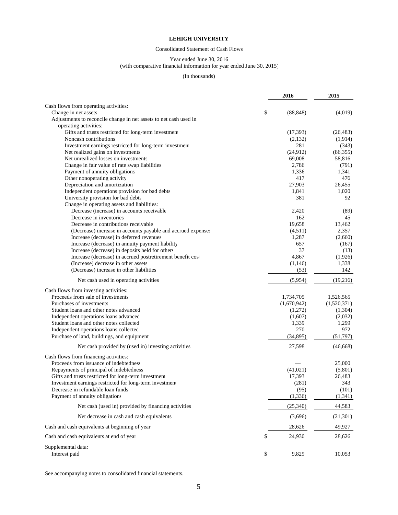#### Consolidated Statement of Cash Flows

#### Year ended June 30, 2016

#### (with comparative financial information for year ended June 30, 2015)

#### (In thousands)

|                                                                                                   | 2016            | 2015        |
|---------------------------------------------------------------------------------------------------|-----------------|-------------|
| Cash flows from operating activities:                                                             |                 |             |
| Change in net assets                                                                              | \$<br>(88, 848) | (4,019)     |
| Adjustments to reconcile change in net assets to net cash used in                                 |                 |             |
| operating activities:                                                                             |                 |             |
| Gifts and trusts restricted for long-term investment                                              | (17,393)        | (26, 483)   |
| Noncash contributions                                                                             | (2,132)         | (1,914)     |
| Investment earnings restricted for long-term investmen                                            | 281             | (343)       |
| Net realized gains on investments                                                                 | (24, 912)       | (86,355)    |
| Net unrealized losses on investments                                                              | 69,008          | 58,816      |
| Change in fair value of rate swap liabilities                                                     | 2,786           | (791)       |
| Payment of annuity obligations                                                                    | 1,336           | 1,341       |
| Other nonoperating activity                                                                       | 417             | 476         |
| Depreciation and amortization                                                                     | 27,903          | 26,455      |
| Independent operations provision for bad debts                                                    | 1,841           | 1,020       |
| University provision for bad debts                                                                | 381             | 92          |
| Change in operating assets and liabilities:                                                       |                 |             |
| Decrease (increase) in accounts receivable                                                        | 2,420           | (89)        |
| Decrease in inventories                                                                           | 162             | 45          |
| Decrease in contributions receivable                                                              | 19,658          | 13,462      |
| (Decrease) increase in accounts payable and accrued expenses                                      | (4,511)         | 2,357       |
| Increase (decrease) in deferred revenues                                                          | 1,287           | (2,660)     |
| Increase (decrease) in annuity payment liability                                                  | 657             | (167)       |
| Increase (decrease) in deposits held for others                                                   | 37              | (13)        |
| Increase (decrease) in accrued postretirement benefit cost<br>(Increase) decrease in other assets | 4,867           | (1,926)     |
|                                                                                                   | (1, 146)        | 1,338       |
| (Decrease) increase in other liabilities                                                          | (53)            | 142         |
| Net cash used in operating activities                                                             | (5,954)         | (19,216)    |
| Cash flows from investing activities:                                                             |                 |             |
| Proceeds from sale of investments                                                                 | 1,734,705       | 1,526,565   |
| Purchases of investments                                                                          | (1,670,942)     | (1,520,371) |
| Student loans and other notes advanced                                                            | (1,272)         | (1,304)     |
| Independent operations loans advanced                                                             | (1,607)         | (2,032)     |
| Student loans and other notes collected                                                           | 1,339           | 1,299       |
| Independent operations loans collected                                                            | 270             | 972         |
| Purchase of land, buildings, and equipment                                                        | (34, 895)       | (51,797)    |
| Net cash provided by (used in) investing activities                                               | 27,598          | (46,668)    |
| Cash flows from financing activities:                                                             |                 |             |
| Proceeds from issuance of indebtedness                                                            |                 | 25,000      |
| Repayments of principal of indebtedness                                                           | (41,021)        | (5,801)     |
| Gifts and trusts restricted for long-term investment                                              | 17,393          | 26,483      |
| Investment earnings restricted for long-term investmen                                            | (281)           | 343         |
| Decrease in refundable loan funds                                                                 | (95)            | (101)       |
| Payment of annuity obligations                                                                    | (1, 336)        | (1,341)     |
| Net cash (used in) provided by financing activities                                               | (25, 340)       | 44,583      |
| Net decrease in cash and cash equivalents                                                         | (3,696)         | (21,301)    |
| Cash and cash equivalents at beginning of year                                                    | 28,626          | 49,927      |
| Cash and cash equivalents at end of year                                                          | \$<br>24,930    | 28,626      |
| Supplemental data:<br>Interest paid                                                               | \$<br>9,829     | 10,053      |

See accompanying notes to consolidated financial statements.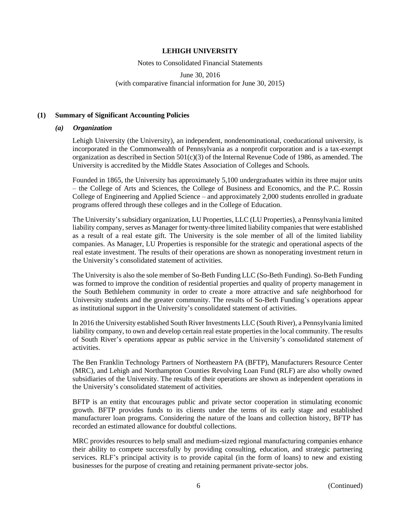Notes to Consolidated Financial Statements

June 30, 2016 (with comparative financial information for June 30, 2015)

### **(1) Summary of Significant Accounting Policies**

#### *(a) Organization*

Lehigh University (the University), an independent, nondenominational, coeducational university, is incorporated in the Commonwealth of Pennsylvania as a nonprofit corporation and is a tax-exempt organization as described in Section 501(c)(3) of the Internal Revenue Code of 1986, as amended. The University is accredited by the Middle States Association of Colleges and Schools.

Founded in 1865, the University has approximately 5,100 undergraduates within its three major units – the College of Arts and Sciences, the College of Business and Economics, and the P.C. Rossin College of Engineering and Applied Science – and approximately 2,000 students enrolled in graduate programs offered through these colleges and in the College of Education.

The University's subsidiary organization, LU Properties, LLC (LU Properties), a Pennsylvania limited liability company, serves as Manager for twenty-three limited liability companies that were established as a result of a real estate gift. The University is the sole member of all of the limited liability companies. As Manager, LU Properties is responsible for the strategic and operational aspects of the real estate investment. The results of their operations are shown as nonoperating investment return in the University's consolidated statement of activities.

The University is also the sole member of So-Beth Funding LLC (So-Beth Funding). So-Beth Funding was formed to improve the condition of residential properties and quality of property management in the South Bethlehem community in order to create a more attractive and safe neighborhood for University students and the greater community. The results of So-Beth Funding's operations appear as institutional support in the University's consolidated statement of activities.

In 2016 the University established South River Investments LLC (South River), a Pennsylvania limited liability company, to own and develop certain real estate properties in the local community. The results of South River's operations appear as public service in the University's consolidated statement of activities.

The Ben Franklin Technology Partners of Northeastern PA (BFTP), Manufacturers Resource Center (MRC), and Lehigh and Northampton Counties Revolving Loan Fund (RLF) are also wholly owned subsidiaries of the University. The results of their operations are shown as independent operations in the University's consolidated statement of activities.

BFTP is an entity that encourages public and private sector cooperation in stimulating economic growth. BFTP provides funds to its clients under the terms of its early stage and established manufacturer loan programs. Considering the nature of the loans and collection history, BFTP has recorded an estimated allowance for doubtful collections.

MRC provides resources to help small and medium-sized regional manufacturing companies enhance their ability to compete successfully by providing consulting, education, and strategic partnering services. RLF's principal activity is to provide capital (in the form of loans) to new and existing businesses for the purpose of creating and retaining permanent private-sector jobs.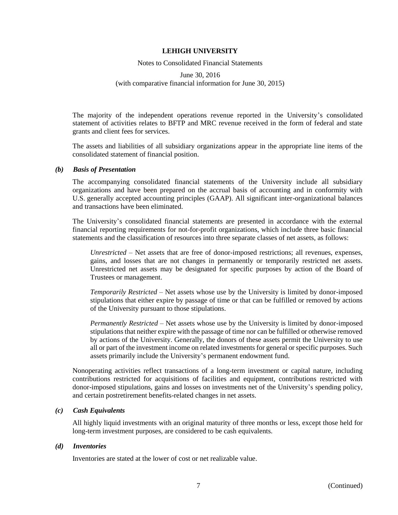Notes to Consolidated Financial Statements

# June 30, 2016 (with comparative financial information for June 30, 2015)

The majority of the independent operations revenue reported in the University's consolidated statement of activities relates to BFTP and MRC revenue received in the form of federal and state grants and client fees for services.

The assets and liabilities of all subsidiary organizations appear in the appropriate line items of the consolidated statement of financial position.

#### *(b) Basis of Presentation*

The accompanying consolidated financial statements of the University include all subsidiary organizations and have been prepared on the accrual basis of accounting and in conformity with U.S. generally accepted accounting principles (GAAP). All significant inter-organizational balances and transactions have been eliminated.

The University's consolidated financial statements are presented in accordance with the external financial reporting requirements for not-for-profit organizations, which include three basic financial statements and the classification of resources into three separate classes of net assets, as follows:

*Unrestricted* – Net assets that are free of donor-imposed restrictions; all revenues, expenses, gains, and losses that are not changes in permanently or temporarily restricted net assets. Unrestricted net assets may be designated for specific purposes by action of the Board of Trustees or management.

*Temporarily Restricted* – Net assets whose use by the University is limited by donor-imposed stipulations that either expire by passage of time or that can be fulfilled or removed by actions of the University pursuant to those stipulations.

*Permanently Restricted* – Net assets whose use by the University is limited by donor-imposed stipulations that neither expire with the passage of time nor can be fulfilled or otherwise removed by actions of the University. Generally, the donors of these assets permit the University to use all or part of the investment income on related investments for general or specific purposes. Such assets primarily include the University's permanent endowment fund.

Nonoperating activities reflect transactions of a long-term investment or capital nature, including contributions restricted for acquisitions of facilities and equipment, contributions restricted with donor-imposed stipulations, gains and losses on investments net of the University's spending policy, and certain postretirement benefits-related changes in net assets.

#### *(c) Cash Equivalents*

All highly liquid investments with an original maturity of three months or less, except those held for long-term investment purposes, are considered to be cash equivalents.

#### *(d) Inventories*

Inventories are stated at the lower of cost or net realizable value.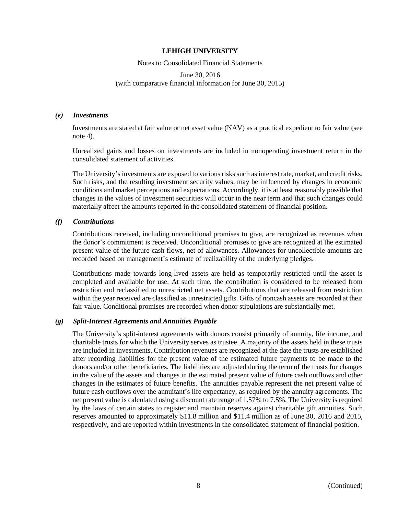Notes to Consolidated Financial Statements

June 30, 2016 (with comparative financial information for June 30, 2015)

#### *(e) Investments*

Investments are stated at fair value or net asset value (NAV) as a practical expedient to fair value (see note 4).

Unrealized gains and losses on investments are included in nonoperating investment return in the consolidated statement of activities.

The University's investments are exposed to various risks such as interest rate, market, and credit risks. Such risks, and the resulting investment security values, may be influenced by changes in economic conditions and market perceptions and expectations. Accordingly, it is at least reasonably possible that changes in the values of investment securities will occur in the near term and that such changes could materially affect the amounts reported in the consolidated statement of financial position.

### *(f) Contributions*

Contributions received, including unconditional promises to give, are recognized as revenues when the donor's commitment is received. Unconditional promises to give are recognized at the estimated present value of the future cash flows, net of allowances. Allowances for uncollectible amounts are recorded based on management's estimate of realizability of the underlying pledges.

Contributions made towards long-lived assets are held as temporarily restricted until the asset is completed and available for use. At such time, the contribution is considered to be released from restriction and reclassified to unrestricted net assets. Contributions that are released from restriction within the year received are classified as unrestricted gifts. Gifts of noncash assets are recorded at their fair value. Conditional promises are recorded when donor stipulations are substantially met.

#### *(g) Split-Interest Agreements and Annuities Payable*

The University's split-interest agreements with donors consist primarily of annuity, life income, and charitable trusts for which the University serves as trustee. A majority of the assets held in these trusts are included in investments. Contribution revenues are recognized at the date the trusts are established after recording liabilities for the present value of the estimated future payments to be made to the donors and/or other beneficiaries. The liabilities are adjusted during the term of the trusts for changes in the value of the assets and changes in the estimated present value of future cash outflows and other changes in the estimates of future benefits. The annuities payable represent the net present value of future cash outflows over the annuitant's life expectancy, as required by the annuity agreements. The net present value is calculated using a discount rate range of 1.57% to 7.5%. The University is required by the laws of certain states to register and maintain reserves against charitable gift annuities. Such reserves amounted to approximately \$11.8 million and \$11.4 million as of June 30, 2016 and 2015, respectively, and are reported within investments in the consolidated statement of financial position.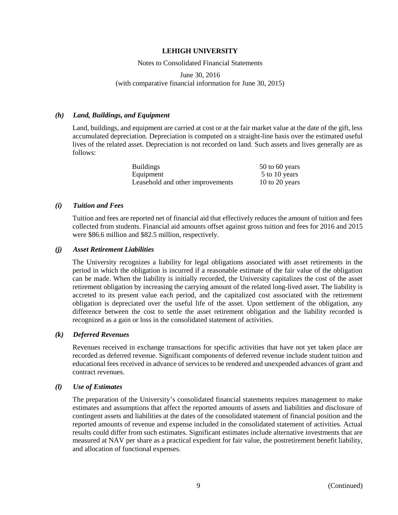Notes to Consolidated Financial Statements

June 30, 2016 (with comparative financial information for June 30, 2015)

### *(h) Land, Buildings, and Equipment*

Land, buildings, and equipment are carried at cost or at the fair market value at the date of the gift, less accumulated depreciation. Depreciation is computed on a straight-line basis over the estimated useful lives of the related asset. Depreciation is not recorded on land. Such assets and lives generally are as follows:

| <b>Buildings</b>                 | 50 to 60 years |
|----------------------------------|----------------|
| Equipment                        | 5 to 10 years  |
| Leasehold and other improvements | 10 to 20 years |

### *(i) Tuition and Fees*

Tuition and fees are reported net of financial aid that effectively reduces the amount of tuition and fees collected from students. Financial aid amounts offset against gross tuition and fees for 2016 and 2015 were \$86.6 million and \$82.5 million, respectively.

#### *(j) Asset Retirement Liabilities*

The University recognizes a liability for legal obligations associated with asset retirements in the period in which the obligation is incurred if a reasonable estimate of the fair value of the obligation can be made. When the liability is initially recorded, the University capitalizes the cost of the asset retirement obligation by increasing the carrying amount of the related long-lived asset. The liability is accreted to its present value each period, and the capitalized cost associated with the retirement obligation is depreciated over the useful life of the asset. Upon settlement of the obligation, any difference between the cost to settle the asset retirement obligation and the liability recorded is recognized as a gain or loss in the consolidated statement of activities.

# *(k) Deferred Revenues*

Revenues received in exchange transactions for specific activities that have not yet taken place are recorded as deferred revenue. Significant components of deferred revenue include student tuition and educational fees received in advance of services to be rendered and unexpended advances of grant and contract revenues.

#### *(l) Use of Estimates*

The preparation of the University's consolidated financial statements requires management to make estimates and assumptions that affect the reported amounts of assets and liabilities and disclosure of contingent assets and liabilities at the dates of the consolidated statement of financial position and the reported amounts of revenue and expense included in the consolidated statement of activities. Actual results could differ from such estimates. Significant estimates include alternative investments that are measured at NAV per share as a practical expedient for fair value, the postretirement benefit liability, and allocation of functional expenses.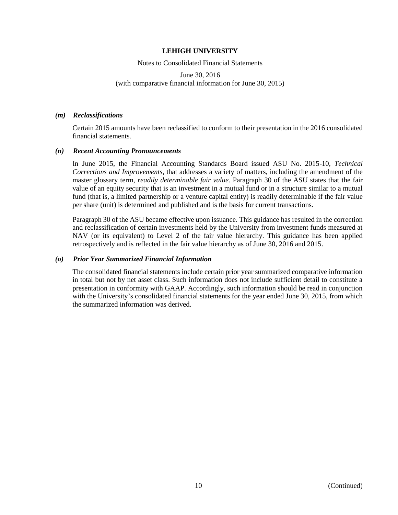#### Notes to Consolidated Financial Statements

### June 30, 2016 (with comparative financial information for June 30, 2015)

#### *(m) Reclassifications*

Certain 2015 amounts have been reclassified to conform to their presentation in the 2016 consolidated financial statements.

#### *(n) Recent Accounting Pronouncements*

In June 2015, the Financial Accounting Standards Board issued ASU No. 2015-10, *Technical Corrections and Improvements*, that addresses a variety of matters, including the amendment of the master glossary term, *readily determinable fair value*. Paragraph 30 of the ASU states that the fair value of an equity security that is an investment in a mutual fund or in a structure similar to a mutual fund (that is, a limited partnership or a venture capital entity) is readily determinable if the fair value per share (unit) is determined and published and is the basis for current transactions.

Paragraph 30 of the ASU became effective upon issuance. This guidance has resulted in the correction and reclassification of certain investments held by the University from investment funds measured at NAV (or its equivalent) to Level 2 of the fair value hierarchy. This guidance has been applied retrospectively and is reflected in the fair value hierarchy as of June 30, 2016 and 2015.

#### *(o) Prior Year Summarized Financial Information*

The consolidated financial statements include certain prior year summarized comparative information in total but not by net asset class. Such information does not include sufficient detail to constitute a presentation in conformity with GAAP. Accordingly, such information should be read in conjunction with the University's consolidated financial statements for the year ended June 30, 2015, from which the summarized information was derived.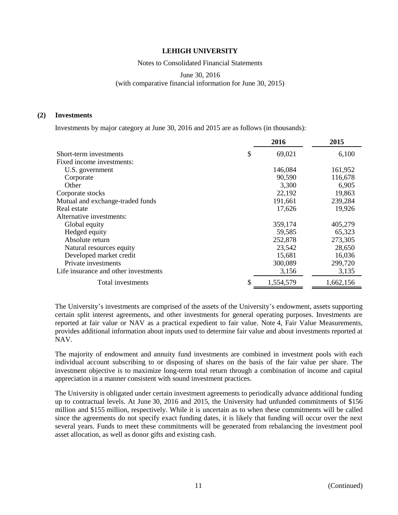Notes to Consolidated Financial Statements

# June 30, 2016 (with comparative financial information for June 30, 2015)

#### **(2) Investments**

Investments by major category at June 30, 2016 and 2015 are as follows (in thousands):

|                                      | 2016         | 2015      |
|--------------------------------------|--------------|-----------|
| Short-term investments               | \$<br>69,021 | 6,100     |
| Fixed income investments:            |              |           |
| U.S. government                      | 146,084      | 161,952   |
| Corporate                            | 90,590       | 116,678   |
| Other                                | 3,300        | 6,905     |
| Corporate stocks                     | 22,192       | 19,863    |
| Mutual and exchange-traded funds     | 191,661      | 239,284   |
| Real estate                          | 17,626       | 19,926    |
| Alternative investments:             |              |           |
| Global equity                        | 359,174      | 405,279   |
| Hedged equity                        | 59,585       | 65,323    |
| Absolute return                      | 252,878      | 273,305   |
| Natural resources equity             | 23,542       | 28,650    |
| Developed market credit              | 15,681       | 16,036    |
| Private investments                  | 300,089      | 299,720   |
| Life insurance and other investments | 3,156        | 3,135     |
| Total investments                    | 1,554,579    | 1,662,156 |

The University's investments are comprised of the assets of the University's endowment, assets supporting certain split interest agreements, and other investments for general operating purposes. Investments are reported at fair value or NAV as a practical expedient to fair value. Note 4, Fair Value Measurements, provides additional information about inputs used to determine fair value and about investments reported at NAV.

The majority of endowment and annuity fund investments are combined in investment pools with each individual account subscribing to or disposing of shares on the basis of the fair value per share. The investment objective is to maximize long-term total return through a combination of income and capital appreciation in a manner consistent with sound investment practices.

The University is obligated under certain investment agreements to periodically advance additional funding up to contractual levels. At June 30, 2016 and 2015, the University had unfunded commitments of \$156 million and \$155 million, respectively. While it is uncertain as to when these commitments will be called since the agreements do not specify exact funding dates, it is likely that funding will occur over the next several years. Funds to meet these commitments will be generated from rebalancing the investment pool asset allocation, as well as donor gifts and existing cash.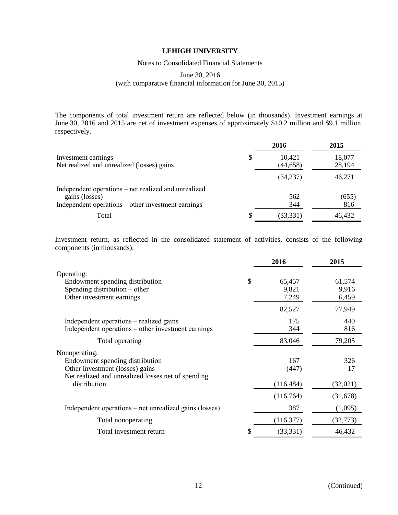#### Notes to Consolidated Financial Statements

# June 30, 2016 (with comparative financial information for June 30, 2015)

The components of total investment return are reflected below (in thousands). Investment earnings at June 30, 2016 and 2015 are net of investment expenses of approximately \$10.2 million and \$9.1 million, respectively.

|                                                                                                                              |    | 2016                | 2015             |
|------------------------------------------------------------------------------------------------------------------------------|----|---------------------|------------------|
| Investment earnings<br>Net realized and unrealized (losses) gains                                                            | \$ | 10.421<br>(44, 658) | 18,077<br>28,194 |
|                                                                                                                              |    | (34,237)            | 46,271           |
| Independent operations – net realized and unrealized<br>gains (losses)<br>Independent operations – other investment earnings |    | 562<br>344          | (655)<br>816     |
| Total                                                                                                                        | S  | (33, 331)           | 46,432           |

Investment return, as reflected in the consolidated statement of activities, consists of the following components (in thousands):

|                                                                                       |               | 2016       | 2015      |
|---------------------------------------------------------------------------------------|---------------|------------|-----------|
| Operating:                                                                            |               |            |           |
| Endowment spending distribution                                                       | $\mathcal{S}$ | 65,457     | 61,574    |
| Spending distribution $-$ other                                                       |               | 9,821      | 9,916     |
| Other investment earnings                                                             |               | 7,249      | 6,459     |
|                                                                                       |               | 82,527     | 77,949    |
| Independent operations – realized gains                                               |               | 175        | 440       |
| Independent operations – other investment earnings                                    |               | 344        | 816       |
| Total operating                                                                       |               | 83,046     | 79,205    |
| Nonoperating:                                                                         |               |            |           |
| Endowment spending distribution                                                       |               | 167        | 326       |
| Other investment (losses) gains<br>Net realized and unrealized losses net of spending |               | (447)      | 17        |
| distribution                                                                          |               | (116, 484) | (32,021)  |
|                                                                                       |               | (116,764)  | (31,678)  |
| Independent operations – net unrealized gains (losses)                                |               | 387        | (1,095)   |
| Total nonoperating                                                                    |               | (116,377)  | (32, 773) |
| Total investment return                                                               | \$            | (33, 331)  | 46,432    |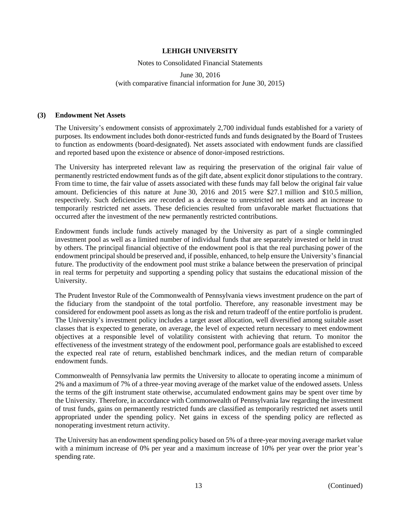#### Notes to Consolidated Financial Statements

# June 30, 2016 (with comparative financial information for June 30, 2015)

#### **(3) Endowment Net Assets**

The University's endowment consists of approximately 2,700 individual funds established for a variety of purposes. Its endowment includes both donor-restricted funds and funds designated by the Board of Trustees to function as endowments (board-designated). Net assets associated with endowment funds are classified and reported based upon the existence or absence of donor-imposed restrictions.

The University has interpreted relevant law as requiring the preservation of the original fair value of permanently restricted endowment funds as of the gift date, absent explicit donor stipulations to the contrary. From time to time, the fair value of assets associated with these funds may fall below the original fair value amount. Deficiencies of this nature at June 30, 2016 and 2015 were \$27.1 million and \$10.5 million, respectively. Such deficiencies are recorded as a decrease to unrestricted net assets and an increase to temporarily restricted net assets. These deficiencies resulted from unfavorable market fluctuations that occurred after the investment of the new permanently restricted contributions.

Endowment funds include funds actively managed by the University as part of a single commingled investment pool as well as a limited number of individual funds that are separately invested or held in trust by others. The principal financial objective of the endowment pool is that the real purchasing power of the endowment principal should be preserved and, if possible, enhanced, to help ensure the University's financial future. The productivity of the endowment pool must strike a balance between the preservation of principal in real terms for perpetuity and supporting a spending policy that sustains the educational mission of the University.

The Prudent Investor Rule of the Commonwealth of Pennsylvania views investment prudence on the part of the fiduciary from the standpoint of the total portfolio. Therefore, any reasonable investment may be considered for endowment pool assets as long as the risk and return tradeoff of the entire portfolio is prudent. The University's investment policy includes a target asset allocation, well diversified among suitable asset classes that is expected to generate, on average, the level of expected return necessary to meet endowment objectives at a responsible level of volatility consistent with achieving that return. To monitor the effectiveness of the investment strategy of the endowment pool, performance goals are established to exceed the expected real rate of return, established benchmark indices, and the median return of comparable endowment funds.

Commonwealth of Pennsylvania law permits the University to allocate to operating income a minimum of 2% and a maximum of 7% of a three-year moving average of the market value of the endowed assets. Unless the terms of the gift instrument state otherwise, accumulated endowment gains may be spent over time by the University. Therefore, in accordance with Commonwealth of Pennsylvania law regarding the investment of trust funds, gains on permanently restricted funds are classified as temporarily restricted net assets until appropriated under the spending policy. Net gains in excess of the spending policy are reflected as nonoperating investment return activity.

The University has an endowment spending policy based on 5% of a three-year moving average market value with a minimum increase of 0% per year and a maximum increase of 10% per year over the prior year's spending rate.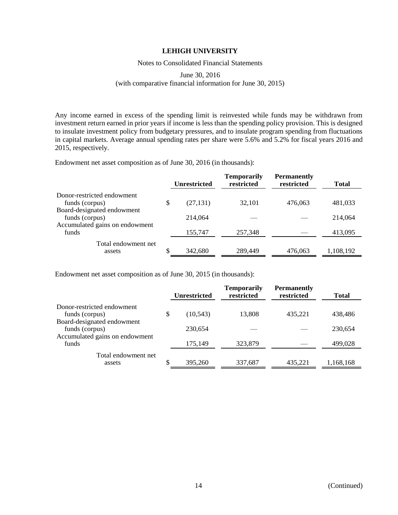Notes to Consolidated Financial Statements

June 30, 2016 (with comparative financial information for June 30, 2015)

Any income earned in excess of the spending limit is reinvested while funds may be withdrawn from investment return earned in prior years if income is less than the spending policy provision. This is designed to insulate investment policy from budgetary pressures, and to insulate program spending from fluctuations in capital markets. Average annual spending rates per share were 5.6% and 5.2% for fiscal years 2016 and 2015, respectively.

Endowment net asset composition as of June 30, 2016 (in thousands):

|                                              | <b>Unrestricted</b> | <b>Temporarily</b><br>restricted | <b>Permanently</b><br>restricted | Total     |
|----------------------------------------------|---------------------|----------------------------------|----------------------------------|-----------|
| Donor-restricted endowment<br>funds (corpus) | \$<br>(27, 131)     | 32.101                           | 476.063                          | 481,033   |
| Board-designated endowment<br>funds (corpus) | 214,064             |                                  |                                  | 214,064   |
| Accumulated gains on endowment<br>funds      | 155,747             | 257,348                          |                                  | 413,095   |
| Total endowment net<br>assets                | \$<br>342,680       | 289,449                          | 476,063                          | 1,108,192 |

Endowment net asset composition as of June 30, 2015 (in thousands):

|                                              |    | <b>Unrestricted</b> | <b>Temporarily</b><br>restricted | <b>Permanently</b><br>restricted | <b>Total</b> |
|----------------------------------------------|----|---------------------|----------------------------------|----------------------------------|--------------|
| Donor-restricted endowment<br>funds (corpus) | \$ | (10, 543)           | 13,808                           | 435.221                          | 438,486      |
| Board-designated endowment<br>funds (corpus) |    | 230.654             |                                  |                                  | 230,654      |
| Accumulated gains on endowment<br>funds      |    | 175,149             | 323,879                          |                                  | 499,028      |
| Total endowment net<br>assets                | Φ  | 395,260             | 337,687                          | 435,221                          | 1,168,168    |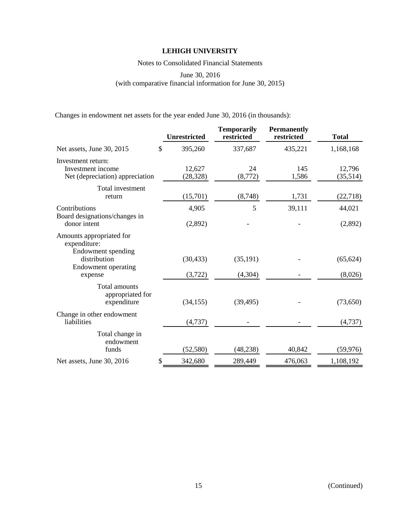Notes to Consolidated Financial Statements

# June 30, 2016 (with comparative financial information for June 30, 2015)

Changes in endowment net assets for the year ended June 30, 2016 (in thousands):

|                                                                                                              |               | <b>Unrestricted</b> | <b>Temporarily</b><br>restricted | <b>Permanently</b><br>restricted | <b>Total</b>       |
|--------------------------------------------------------------------------------------------------------------|---------------|---------------------|----------------------------------|----------------------------------|--------------------|
| Net assets, June 30, 2015                                                                                    | $\mathcal{S}$ | 395,260             | 337,687                          | 435,221                          | 1,168,168          |
| Investment return:<br>Investment income<br>Net (depreciation) appreciation                                   |               | 12,627<br>(28, 328) | 24<br>(8,772)                    | 145<br>1,586                     | 12,796<br>(35,514) |
| Total investment<br>return                                                                                   |               | (15,701)            | (8,748)                          | 1,731                            | (22, 718)          |
| Contributions                                                                                                |               | 4,905               | 5                                | 39,111                           | 44,021             |
| Board designations/changes in<br>donor intent                                                                |               | (2,892)             |                                  |                                  | (2,892)            |
| Amounts appropriated for<br>expenditure:<br>Endowment spending<br>distribution<br><b>Endowment operating</b> |               | (30, 433)           | (35, 191)                        |                                  | (65, 624)          |
| expense                                                                                                      |               | (3,722)             | (4,304)                          |                                  | (8,026)            |
| Total amounts<br>appropriated for<br>expenditure                                                             |               | (34, 155)           | (39, 495)                        |                                  | (73, 650)          |
| Change in other endowment<br>liabilities                                                                     |               | (4, 737)            |                                  |                                  | (4,737)            |
| Total change in<br>endowment<br>funds                                                                        |               | (52, 580)           | (48, 238)                        | 40,842                           | (59, 976)          |
| Net assets, June 30, 2016                                                                                    | \$            | 342,680             | 289,449                          | 476,063                          | 1,108,192          |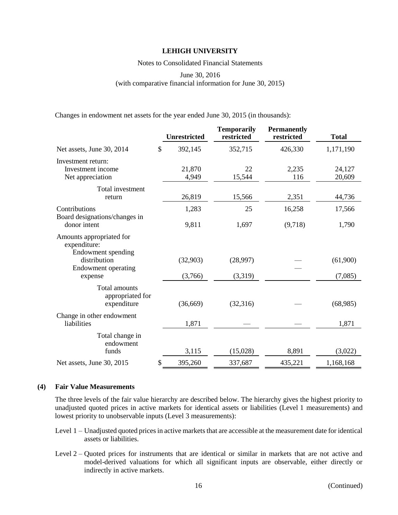Notes to Consolidated Financial Statements

# June 30, 2016 (with comparative financial information for June 30, 2015)

Changes in endowment net assets for the year ended June 30, 2015 (in thousands):

|                                                                                                                  | <b>Unrestricted</b> | <b>Temporarily</b><br>restricted | <b>Permanently</b><br>restricted | <b>Total</b>        |
|------------------------------------------------------------------------------------------------------------------|---------------------|----------------------------------|----------------------------------|---------------------|
| \$<br>Net assets, June 30, 2014                                                                                  | 392,145             | 352,715                          | 426,330                          | 1,171,190           |
| Investment return:<br>Investment income<br>Net appreciation                                                      | 21,870<br>4,949     | 22<br>15,544                     | 2,235<br>116                     | 24,127<br>20,609    |
| Total investment<br>return                                                                                       | 26,819              | 15,566                           | 2,351                            | 44,736              |
| Contributions                                                                                                    | 1,283               | 25                               | 16,258                           | 17,566              |
| Board designations/changes in<br>donor intent                                                                    | 9,811               | 1,697                            | (9,718)                          | 1,790               |
| Amounts appropriated for<br>expenditure:<br>Endowment spending<br>distribution<br>Endowment operating<br>expense | (32,903)<br>(3,766) | (28,997)<br>(3,319)              |                                  | (61,900)<br>(7,085) |
| <b>Total amounts</b><br>appropriated for<br>expenditure                                                          | (36,669)            | (32,316)                         |                                  | (68,985)            |
| Change in other endowment<br>liabilities                                                                         | 1,871               |                                  |                                  | 1,871               |
| Total change in<br>endowment<br>funds                                                                            | 3,115               | (15,028)                         | 8,891                            | (3,022)             |
| Net assets, June 30, 2015                                                                                        | 395,260             | 337,687                          | 435,221                          | 1,168,168           |

### **(4) Fair Value Measurements**

The three levels of the fair value hierarchy are described below. The hierarchy gives the highest priority to unadjusted quoted prices in active markets for identical assets or liabilities (Level 1 measurements) and lowest priority to unobservable inputs (Level 3 measurements):

- Level 1 Unadjusted quoted prices in active markets that are accessible at the measurement date for identical assets or liabilities.
- Level 2 Quoted prices for instruments that are identical or similar in markets that are not active and model-derived valuations for which all significant inputs are observable, either directly or indirectly in active markets.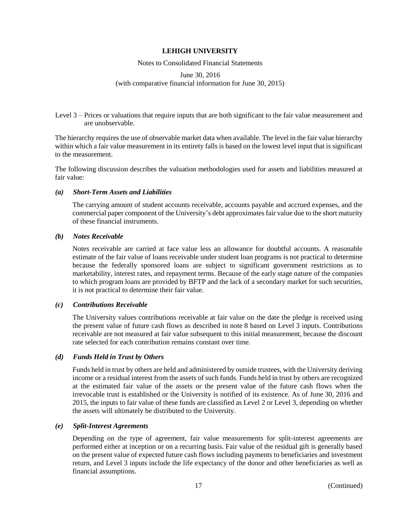Notes to Consolidated Financial Statements

# June 30, 2016 (with comparative financial information for June 30, 2015)

Level 3 – Prices or valuations that require inputs that are both significant to the fair value measurement and are unobservable.

The hierarchy requires the use of observable market data when available. The level in the fair value hierarchy within which a fair value measurement in its entirety falls is based on the lowest level input that is significant to the measurement.

The following discussion describes the valuation methodologies used for assets and liabilities measured at fair value:

#### *(a) Short-Term Assets and Liabilities*

The carrying amount of student accounts receivable, accounts payable and accrued expenses, and the commercial paper component of the University's debt approximates fair value due to the short maturity of these financial instruments.

### *(b) Notes Receivable*

Notes receivable are carried at face value less an allowance for doubtful accounts. A reasonable estimate of the fair value of loans receivable under student loan programs is not practical to determine because the federally sponsored loans are subject to significant government restrictions as to marketability, interest rates, and repayment terms. Because of the early stage nature of the companies to which program loans are provided by BFTP and the lack of a secondary market for such securities, it is not practical to determine their fair value.

#### *(c) Contributions Receivable*

The University values contributions receivable at fair value on the date the pledge is received using the present value of future cash flows as described in note 8 based on Level 3 inputs. Contributions receivable are not measured at fair value subsequent to this initial measurement, because the discount rate selected for each contribution remains constant over time.

#### *(d) Funds Held in Trust by Others*

Funds held in trust by others are held and administered by outside trustees, with the University deriving income or a residual interest from the assets of such funds. Funds held in trust by others are recognized at the estimated fair value of the assets or the present value of the future cash flows when the irrevocable trust is established or the University is notified of its existence. As of June 30, 2016 and 2015, the inputs to fair value of these funds are classified as Level 2 or Level 3, depending on whether the assets will ultimately be distributed to the University.

#### *(e) Split-Interest Agreements*

Depending on the type of agreement, fair value measurements for split-interest agreements are performed either at inception or on a recurring basis. Fair value of the residual gift is generally based on the present value of expected future cash flows including payments to beneficiaries and investment return, and Level 3 inputs include the life expectancy of the donor and other beneficiaries as well as financial assumptions.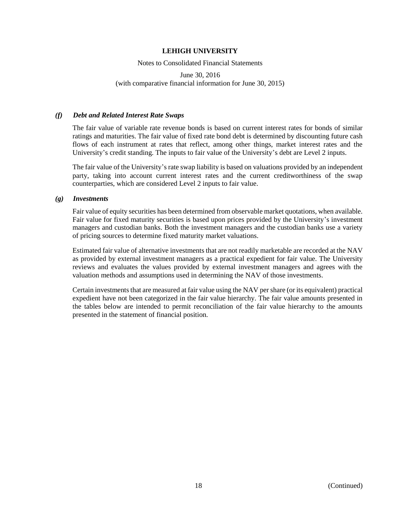Notes to Consolidated Financial Statements

June 30, 2016 (with comparative financial information for June 30, 2015)

#### *(f) Debt and Related Interest Rate Swaps*

The fair value of variable rate revenue bonds is based on current interest rates for bonds of similar ratings and maturities. The fair value of fixed rate bond debt is determined by discounting future cash flows of each instrument at rates that reflect, among other things, market interest rates and the University's credit standing. The inputs to fair value of the University's debt are Level 2 inputs.

The fair value of the University's rate swap liability is based on valuations provided by an independent party, taking into account current interest rates and the current creditworthiness of the swap counterparties, which are considered Level 2 inputs to fair value.

#### *(g) Investments*

Fair value of equity securities has been determined from observable market quotations, when available. Fair value for fixed maturity securities is based upon prices provided by the University's investment managers and custodian banks. Both the investment managers and the custodian banks use a variety of pricing sources to determine fixed maturity market valuations.

Estimated fair value of alternative investments that are not readily marketable are recorded at the NAV as provided by external investment managers as a practical expedient for fair value. The University reviews and evaluates the values provided by external investment managers and agrees with the valuation methods and assumptions used in determining the NAV of those investments.

Certain investments that are measured at fair value using the NAV per share (or its equivalent) practical expedient have not been categorized in the fair value hierarchy. The fair value amounts presented in the tables below are intended to permit reconciliation of the fair value hierarchy to the amounts presented in the statement of financial position.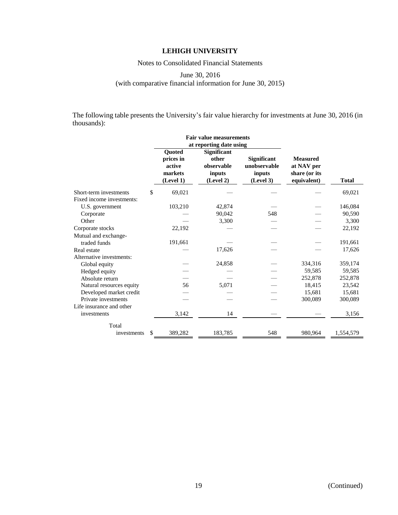Notes to Consolidated Financial Statements

# June 30, 2016 (with comparative financial information for June 30, 2015)

The following table presents the University's fair value hierarchy for investments at June 30, 2016 (in thousands):

|                           |                                                              | <b>Fair value measurements</b>                                   |                                                           |                                                               |              |
|---------------------------|--------------------------------------------------------------|------------------------------------------------------------------|-----------------------------------------------------------|---------------------------------------------------------------|--------------|
|                           |                                                              | at reporting date using                                          |                                                           |                                                               |              |
|                           | <b>Ouoted</b><br>prices in<br>active<br>markets<br>(Level 1) | <b>Significant</b><br>other<br>observable<br>inputs<br>(Level 2) | <b>Significant</b><br>unobservable<br>inputs<br>(Level 3) | <b>Measured</b><br>at NAV per<br>share (or its<br>equivalent) | <b>Total</b> |
| Short-term investments    | \$<br>69,021                                                 |                                                                  |                                                           |                                                               | 69,021       |
| Fixed income investments: |                                                              |                                                                  |                                                           |                                                               |              |
| U.S. government           | 103,210                                                      | 42,874                                                           |                                                           |                                                               | 146,084      |
| Corporate                 |                                                              | 90,042                                                           | 548                                                       |                                                               | 90,590       |
| Other                     |                                                              | 3,300                                                            |                                                           |                                                               | 3,300        |
| Corporate stocks          | 22,192                                                       |                                                                  |                                                           |                                                               | 22,192       |
| Mutual and exchange-      |                                                              |                                                                  |                                                           |                                                               |              |
| traded funds              | 191,661                                                      |                                                                  |                                                           |                                                               | 191,661      |
| Real estate               |                                                              | 17,626                                                           |                                                           |                                                               | 17,626       |
| Alternative investments:  |                                                              |                                                                  |                                                           |                                                               |              |
| Global equity             |                                                              | 24,858                                                           |                                                           | 334,316                                                       | 359,174      |
| Hedged equity             |                                                              |                                                                  |                                                           | 59,585                                                        | 59,585       |
| Absolute return           |                                                              |                                                                  |                                                           | 252,878                                                       | 252,878      |
| Natural resources equity  | 56                                                           | 5,071                                                            |                                                           | 18,415                                                        | 23,542       |
| Developed market credit   |                                                              |                                                                  |                                                           | 15,681                                                        | 15,681       |
| Private investments       |                                                              |                                                                  |                                                           | 300,089                                                       | 300,089      |
| Life insurance and other  |                                                              |                                                                  |                                                           |                                                               |              |
| investments               | 3,142                                                        | 14                                                               |                                                           |                                                               | 3,156        |
| Total                     |                                                              |                                                                  |                                                           |                                                               |              |
| investments               | \$<br>389,282                                                | 183,785                                                          | 548                                                       | 980,964                                                       | 1,554,579    |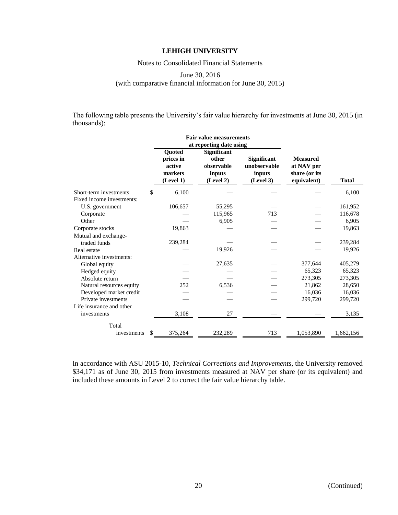Notes to Consolidated Financial Statements

# June 30, 2016 (with comparative financial information for June 30, 2015)

The following table presents the University's fair value hierarchy for investments at June 30, 2015 (in thousands):

|                           |                                                              | <b>Fair value measurements</b>                            |                                                    |                                                               |              |
|---------------------------|--------------------------------------------------------------|-----------------------------------------------------------|----------------------------------------------------|---------------------------------------------------------------|--------------|
|                           |                                                              | at reporting date using                                   |                                                    |                                                               |              |
|                           | <b>Ouoted</b><br>prices in<br>active<br>markets<br>(Level 1) | Significant<br>other<br>observable<br>inputs<br>(Level 2) | Significant<br>unobservable<br>inputs<br>(Level 3) | <b>Measured</b><br>at NAV per<br>share (or its<br>equivalent) | <b>Total</b> |
| Short-term investments    | \$<br>6,100                                                  |                                                           |                                                    |                                                               | 6,100        |
| Fixed income investments: |                                                              |                                                           |                                                    |                                                               |              |
| U.S. government           | 106,657                                                      | 55,295                                                    |                                                    |                                                               | 161,952      |
| Corporate                 |                                                              | 115,965                                                   | 713                                                |                                                               | 116,678      |
| Other                     |                                                              | 6,905                                                     |                                                    |                                                               | 6,905        |
| Corporate stocks          | 19,863                                                       |                                                           |                                                    |                                                               | 19,863       |
| Mutual and exchange-      |                                                              |                                                           |                                                    |                                                               |              |
| traded funds              | 239,284                                                      |                                                           |                                                    |                                                               | 239,284      |
| Real estate               |                                                              | 19,926                                                    |                                                    |                                                               | 19,926       |
| Alternative investments:  |                                                              |                                                           |                                                    |                                                               |              |
| Global equity             |                                                              | 27,635                                                    |                                                    | 377,644                                                       | 405,279      |
| Hedged equity             |                                                              |                                                           |                                                    | 65,323                                                        | 65,323       |
| Absolute return           |                                                              |                                                           |                                                    | 273,305                                                       | 273,305      |
| Natural resources equity  | 252                                                          | 6,536                                                     |                                                    | 21,862                                                        | 28,650       |
| Developed market credit   |                                                              |                                                           |                                                    | 16,036                                                        | 16,036       |
| Private investments       |                                                              |                                                           |                                                    | 299,720                                                       | 299,720      |
| Life insurance and other  |                                                              |                                                           |                                                    |                                                               |              |
| investments               | 3,108                                                        | 27                                                        |                                                    |                                                               | 3,135        |
| Total                     |                                                              |                                                           |                                                    |                                                               |              |
| investments               | \$<br>375,264                                                | 232.289                                                   | 713                                                | 1,053,890                                                     | 1.662.156    |

In accordance with ASU 2015-10, *Technical Corrections and Improvements*, the University removed \$34,171 as of June 30, 2015 from investments measured at NAV per share (or its equivalent) and included these amounts in Level 2 to correct the fair value hierarchy table.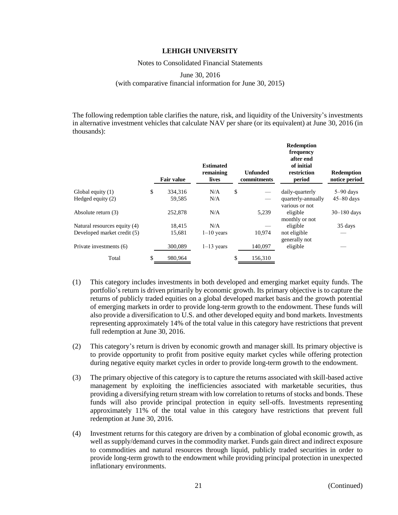Notes to Consolidated Financial Statements

# June 30, 2016 (with comparative financial information for June 30, 2015)

The following redemption table clarifies the nature, risk, and liquidity of the University's investments in alternative investment vehicles that calculate NAV per share (or its equivalent) at June 30, 2016 (in thousands):

|                              | <b>Fair value</b> | <b>Estimated</b><br>remaining<br>lives | <b>Unfunded</b><br>commitments | Redemption<br>frequency<br>after end<br>of initial<br>restriction<br>period | <b>Redemption</b><br>notice period |
|------------------------------|-------------------|----------------------------------------|--------------------------------|-----------------------------------------------------------------------------|------------------------------------|
| Global equity (1)            | \$<br>334,316     | N/A                                    | \$                             | daily-quarterly                                                             | $5-90$ days                        |
| Hedged equity (2)            | 59,585            | N/A                                    |                                | quarterly-annually                                                          | $45 - 80$ days                     |
|                              |                   |                                        |                                | various or not                                                              |                                    |
| Absolute return (3)          | 252,878           | N/A                                    | 5,239                          | eligible<br>monthly or not                                                  | $30-180$ days                      |
| Natural resources equity (4) | 18,415            | N/A                                    |                                | eligible                                                                    | 35 days                            |
| Developed market credit (5)  | 15,681            | $1-10$ years                           | 10,974                         | not eligible                                                                |                                    |
|                              |                   |                                        |                                | generally not                                                               |                                    |
| Private investments (6)      | 300,089           | $1-13$ years                           | 140,097                        | eligible                                                                    |                                    |
| Total                        | \$<br>980,964     |                                        | \$<br>156,310                  |                                                                             |                                    |

- (1) This category includes investments in both developed and emerging market equity funds. The portfolio's return is driven primarily by economic growth. Its primary objective is to capture the returns of publicly traded equities on a global developed market basis and the growth potential of emerging markets in order to provide long-term growth to the endowment. These funds will also provide a diversification to U.S. and other developed equity and bond markets. Investments representing approximately 14% of the total value in this category have restrictions that prevent full redemption at June 30, 2016.
- (2) This category's return is driven by economic growth and manager skill. Its primary objective is to provide opportunity to profit from positive equity market cycles while offering protection during negative equity market cycles in order to provide long-term growth to the endowment.
- (3) The primary objective of this category is to capture the returns associated with skill-based active management by exploiting the inefficiencies associated with marketable securities, thus providing a diversifying return stream with low correlation to returns of stocks and bonds. These funds will also provide principal protection in equity sell-offs. Investments representing approximately 11% of the total value in this category have restrictions that prevent full redemption at June 30, 2016.
- (4) Investment returns for this category are driven by a combination of global economic growth, as well as supply/demand curves in the commodity market. Funds gain direct and indirect exposure to commodities and natural resources through liquid, publicly traded securities in order to provide long-term growth to the endowment while providing principal protection in unexpected inflationary environments.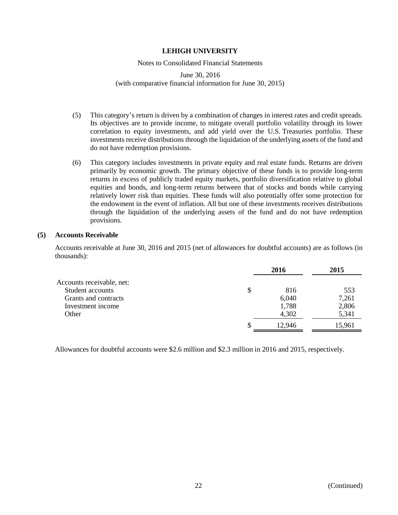### Notes to Consolidated Financial Statements

# June 30, 2016 (with comparative financial information for June 30, 2015)

- (5) This category's return is driven by a combination of changes in interest rates and credit spreads. Its objectives are to provide income, to mitigate overall portfolio volatility through its lower correlation to equity investments, and add yield over the U.S. Treasuries portfolio. These investments receive distributions through the liquidation of the underlying assets of the fund and do not have redemption provisions.
- (6) This category includes investments in private equity and real estate funds. Returns are driven primarily by economic growth. The primary objective of these funds is to provide long-term returns in excess of publicly traded equity markets, portfolio diversification relative to global equities and bonds, and long-term returns between that of stocks and bonds while carrying relatively lower risk than equities. These funds will also potentially offer some protection for the endowment in the event of inflation. All but one of these investments receives distributions through the liquidation of the underlying assets of the fund and do not have redemption provisions.

#### **(5) Accounts Receivable**

Accounts receivable at June 30, 2016 and 2015 (net of allowances for doubtful accounts) are as follows (in thousands):

|                           |   | 2016   | 2015   |
|---------------------------|---|--------|--------|
| Accounts receivable, net: |   |        |        |
| Student accounts          | S | 816    | 553    |
| Grants and contracts      |   | 6,040  | 7,261  |
| Investment income         |   | 1,788  | 2,806  |
| Other                     |   | 4,302  | 5,341  |
|                           |   | 12,946 | 15,961 |

Allowances for doubtful accounts were \$2.6 million and \$2.3 million in 2016 and 2015, respectively.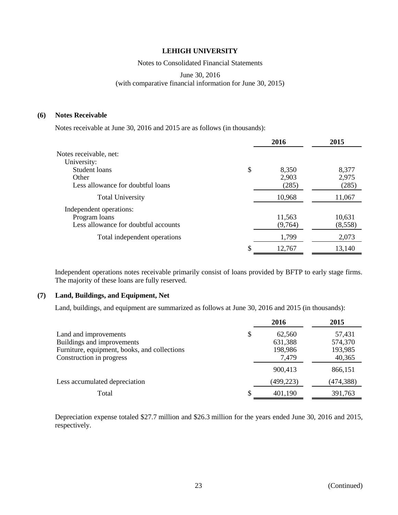Notes to Consolidated Financial Statements

June 30, 2016 (with comparative financial information for June 30, 2015)

### **(6) Notes Receivable**

Notes receivable at June 30, 2016 and 2015 are as follows (in thousands):

|                                      |    | 2016    | 2015    |
|--------------------------------------|----|---------|---------|
| Notes receivable, net:               |    |         |         |
| University:                          |    |         |         |
| Student loans                        | \$ | 8,350   | 8,377   |
| Other                                |    | 2,903   | 2,975   |
| Less allowance for doubtful loans    |    | (285)   | (285)   |
| <b>Total University</b>              |    | 10,968  | 11,067  |
| Independent operations:              |    |         |         |
| Program loans                        |    | 11,563  | 10,631  |
| Less allowance for doubtful accounts |    | (9,764) | (8,558) |
| Total independent operations         |    | 1,799   | 2,073   |
|                                      | S  | 12,767  | 13,140  |
|                                      |    |         |         |

Independent operations notes receivable primarily consist of loans provided by BFTP to early stage firms. The majority of these loans are fully reserved.

### **(7) Land, Buildings, and Equipment, Net**

Land, buildings, and equipment are summarized as follows at June 30, 2016 and 2015 (in thousands):

|                                                                                                                                 | 2016                                        | 2015                                   |
|---------------------------------------------------------------------------------------------------------------------------------|---------------------------------------------|----------------------------------------|
| Land and improvements<br>Buildings and improvements<br>Furniture, equipment, books, and collections<br>Construction in progress | \$<br>62,560<br>631,388<br>198,986<br>7,479 | 57,431<br>574,370<br>193,985<br>40,365 |
|                                                                                                                                 | 900,413                                     | 866,151                                |
| Less accumulated depreciation                                                                                                   | (499, 223)                                  | (474, 388)                             |
| Total                                                                                                                           | 401,190                                     | 391,763                                |

Depreciation expense totaled \$27.7 million and \$26.3 million for the years ended June 30, 2016 and 2015, respectively.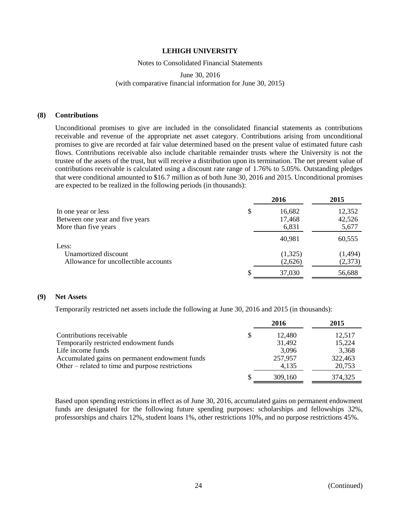#### Notes to Consolidated Financial Statements

# June 30, 2016 (with comparative financial information for June 30, 2015)

#### **(8) Contributions**

Unconditional promises to give are included in the consolidated financial statements as contributions receivable and revenue of the appropriate net asset category. Contributions arising from unconditional promises to give are recorded at fair value determined based on the present value of estimated future cash flows. Contributions receivable also include charitable remainder trusts where the University is not the trustee of the assets of the trust, but will receive a distribution upon its termination. The net present value of contributions receivable is calculated using a discount rate range of 1.76% to 5.05%. Outstanding pledges that were conditional amounted to \$16.7 million as of both June 30, 2016 and 2015. Unconditional promises are expected to be realized in the following periods (in thousands):

|                                                              |    | 2016               | 2015                |
|--------------------------------------------------------------|----|--------------------|---------------------|
| In one year or less<br>Between one year and five years       | \$ | 16,682<br>17,468   | 12,352<br>42,526    |
| More than five years                                         |    | 6,831              | 5,677               |
| Less:                                                        |    | 40,981             | 60,555              |
| Unamortized discount<br>Allowance for uncollectible accounts |    | (1,325)<br>(2,626) | (1, 494)<br>(2,373) |
|                                                              | S  | 37,030             | 56,688              |

### **(9) Net Assets**

Temporarily restricted net assets include the following at June 30, 2016 and 2015 (in thousands):

|                                                  | 2016    | 2015    |
|--------------------------------------------------|---------|---------|
| Contributions receivable                         | 12,480  | 12,517  |
| Temporarily restricted endowment funds           | 31,492  | 15,224  |
| Life income funds                                | 3,096   | 3,368   |
| Accumulated gains on permanent endowment funds   | 257,957 | 322,463 |
| Other – related to time and purpose restrictions | 4.135   | 20,753  |
|                                                  | 309,160 | 374,325 |

Based upon spending restrictions in effect as of June 30, 2016, accumulated gains on permanent endowment funds are designated for the following future spending purposes: scholarships and fellowships 32%, professorships and chairs 12%, student loans 1%, other restrictions 10%, and no purpose restrictions 45%.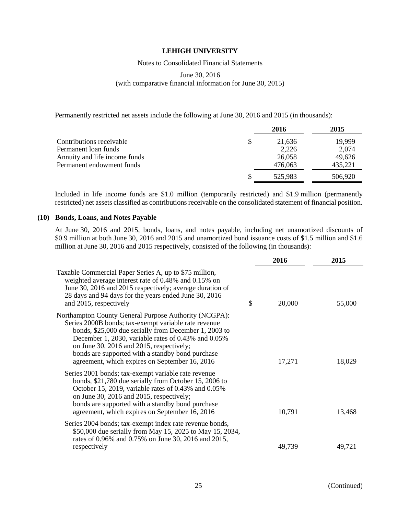Notes to Consolidated Financial Statements

# June 30, 2016 (with comparative financial information for June 30, 2015)

Permanently restricted net assets include the following at June 30, 2016 and 2015 (in thousands):

|                               | 2016         | 2015    |
|-------------------------------|--------------|---------|
| Contributions receivable      | \$<br>21,636 | 19,999  |
| Permanent loan funds          | 2,226        | 2,074   |
| Annuity and life income funds | 26,058       | 49,626  |
| Permanent endowment funds     | 476,063      | 435,221 |
|                               | 525,983      | 506,920 |

Included in life income funds are \$1.0 million (temporarily restricted) and \$1.9 million (permanently restricted) net assets classified as contributions receivable on the consolidated statement of financial position.

#### **(10) Bonds, Loans, and Notes Payable**

At June 30, 2016 and 2015, bonds, loans, and notes payable, including net unamortized discounts of \$0.9 million at both June 30, 2016 and 2015 and unamortized bond issuance costs of \$1.5 million and \$1.6 million at June 30, 2016 and 2015 respectively, consisted of the following (in thousands):

|                                                                                                                                                                                                                                                                                                                                                                                 | 2016         | 2015   |
|---------------------------------------------------------------------------------------------------------------------------------------------------------------------------------------------------------------------------------------------------------------------------------------------------------------------------------------------------------------------------------|--------------|--------|
| Taxable Commercial Paper Series A, up to \$75 million,<br>weighted average interest rate of 0.48% and 0.15% on<br>June 30, 2016 and 2015 respectively; average duration of<br>28 days and 94 days for the years ended June 30, 2016<br>and 2015, respectively                                                                                                                   | \$<br>20,000 | 55,000 |
| Northampton County General Purpose Authority (NCGPA):<br>Series 2000B bonds; tax-exempt variable rate revenue<br>bonds, \$25,000 due serially from December 1, 2003 to<br>December 1, 2030, variable rates of 0.43% and 0.05%<br>on June 30, 2016 and 2015, respectively;<br>bonds are supported with a standby bond purchase<br>agreement, which expires on September 16, 2016 | 17,271       | 18,029 |
| Series 2001 bonds; tax-exempt variable rate revenue<br>bonds, \$21,780 due serially from October 15, 2006 to<br>October 15, 2019, variable rates of 0.43% and 0.05%<br>on June 30, 2016 and 2015, respectively;<br>bonds are supported with a standby bond purchase<br>agreement, which expires on September 16, 2016                                                           | 10,791       | 13,468 |
| Series 2004 bonds; tax-exempt index rate revenue bonds,<br>\$50,000 due serially from May 15, 2025 to May 15, 2034,<br>rates of 0.96% and 0.75% on June 30, 2016 and 2015,<br>respectively                                                                                                                                                                                      | 49,739       | 49,721 |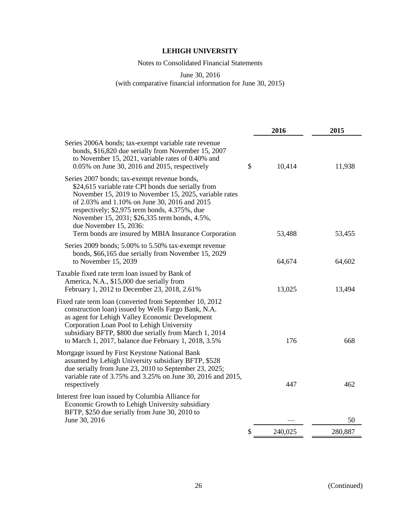Notes to Consolidated Financial Statements

June 30, 2016

(with comparative financial information for June 30, 2015)

|                                                                                                                                                                                                                                                                                                                                                                                                  | 2016          | 2015    |
|--------------------------------------------------------------------------------------------------------------------------------------------------------------------------------------------------------------------------------------------------------------------------------------------------------------------------------------------------------------------------------------------------|---------------|---------|
| Series 2006A bonds; tax-exempt variable rate revenue<br>bonds, \$16,820 due serially from November 15, 2007<br>to November 15, 2021, variable rates of 0.40% and<br>$0.05\%$ on June 30, 2016 and 2015, respectively                                                                                                                                                                             | \$<br>10,414  | 11,938  |
| Series 2007 bonds; tax-exempt revenue bonds,<br>\$24,615 variable rate CPI bonds due serially from<br>November 15, 2019 to November 15, 2025, variable rates<br>of 2.03% and 1.10% on June 30, 2016 and 2015<br>respectively; \$2,975 term bonds, 4.375%, due<br>November 15, 2031; \$26,335 term bonds, 4.5%,<br>due November 15, 2036:<br>Term bonds are insured by MBIA Insurance Corporation | 53,488        | 53,455  |
| Series 2009 bonds; 5.00% to 5.50% tax-exempt revenue<br>bonds, \$66,165 due serially from November 15, 2029<br>to November 15, 2039                                                                                                                                                                                                                                                              | 64,674        | 64,602  |
| Taxable fixed rate term loan issued by Bank of<br>America, N.A., \$15,000 due serially from<br>February 1, 2012 to December 23, 2018, 2.61%                                                                                                                                                                                                                                                      | 13,025        | 13,494  |
| Fixed rate term loan (converted from September 10, 2012)<br>construction loan) issued by Wells Fargo Bank, N.A.<br>as agent for Lehigh Valley Economic Development<br>Corporation Loan Pool to Lehigh University<br>subsidiary BFTP, \$800 due serially from March 1, 2014<br>to March 1, 2017, balance due February 1, 2018, 3.5%                                                               | 176           | 668     |
| Mortgage issued by First Keystone National Bank<br>assumed by Lehigh University subsidiary BFTP, \$528<br>due serially from June 23, 2010 to September 23, 2025;<br>variable rate of 3.75% and 3.25% on June 30, 2016 and 2015,<br>respectively                                                                                                                                                  | 447           | 462     |
| Interest free loan issued by Columbia Alliance for<br>Economic Growth to Lehigh University subsidiary<br>BFTP, \$250 due serially from June 30, 2010 to<br>June 30, 2016                                                                                                                                                                                                                         |               | 50      |
|                                                                                                                                                                                                                                                                                                                                                                                                  | \$<br>240,025 | 280,887 |
|                                                                                                                                                                                                                                                                                                                                                                                                  |               |         |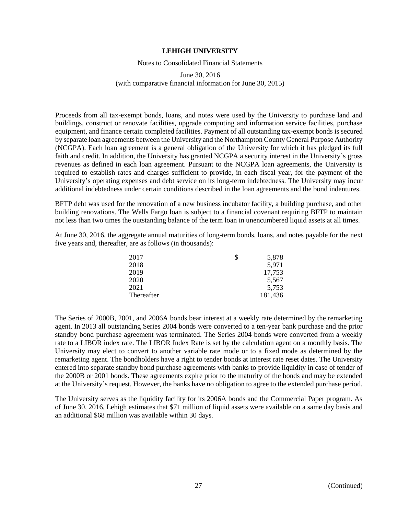#### Notes to Consolidated Financial Statements

# June 30, 2016 (with comparative financial information for June 30, 2015)

Proceeds from all tax-exempt bonds, loans, and notes were used by the University to purchase land and buildings, construct or renovate facilities, upgrade computing and information service facilities, purchase equipment, and finance certain completed facilities. Payment of all outstanding tax-exempt bonds is secured by separate loan agreements between the University and the Northampton County General Purpose Authority (NCGPA). Each loan agreement is a general obligation of the University for which it has pledged its full faith and credit. In addition, the University has granted NCGPA a security interest in the University's gross revenues as defined in each loan agreement. Pursuant to the NCGPA loan agreements, the University is required to establish rates and charges sufficient to provide, in each fiscal year, for the payment of the University's operating expenses and debt service on its long-term indebtedness. The University may incur additional indebtedness under certain conditions described in the loan agreements and the bond indentures.

BFTP debt was used for the renovation of a new business incubator facility, a building purchase, and other building renovations. The Wells Fargo loan is subject to a financial covenant requiring BFTP to maintain not less than two times the outstanding balance of the term loan in unencumbered liquid assets at all times.

At June 30, 2016, the aggregate annual maturities of long-term bonds, loans, and notes payable for the next five years and, thereafter, are as follows (in thousands):

| 2017       | S | 5,878   |
|------------|---|---------|
| 2018       |   | 5,971   |
| 2019       |   | 17,753  |
| 2020       |   | 5,567   |
| 2021       |   | 5,753   |
| Thereafter |   | 181,436 |

The Series of 2000B, 2001, and 2006A bonds bear interest at a weekly rate determined by the remarketing agent. In 2013 all outstanding Series 2004 bonds were converted to a ten-year bank purchase and the prior standby bond purchase agreement was terminated. The Series 2004 bonds were converted from a weekly rate to a LIBOR index rate. The LIBOR Index Rate is set by the calculation agent on a monthly basis. The University may elect to convert to another variable rate mode or to a fixed mode as determined by the remarketing agent. The bondholders have a right to tender bonds at interest rate reset dates. The University entered into separate standby bond purchase agreements with banks to provide liquidity in case of tender of the 2000B or 2001 bonds. These agreements expire prior to the maturity of the bonds and may be extended at the University's request. However, the banks have no obligation to agree to the extended purchase period.

The University serves as the liquidity facility for its 2006A bonds and the Commercial Paper program. As of June 30, 2016, Lehigh estimates that \$71 million of liquid assets were available on a same day basis and an additional \$68 million was available within 30 days.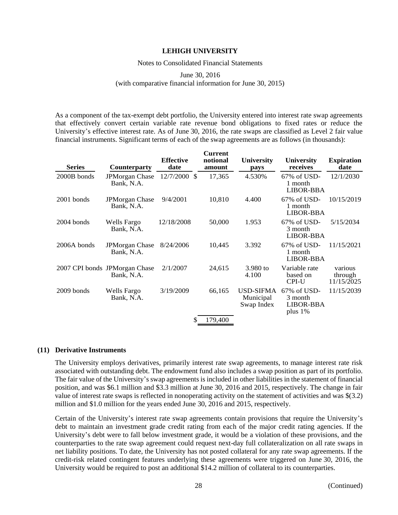#### Notes to Consolidated Financial Statements

# June 30, 2016 (with comparative financial information for June 30, 2015)

As a component of the tax-exempt debt portfolio, the University entered into interest rate swap agreements that effectively convert certain variable rate revenue bond obligations to fixed rates or reduce the University's effective interest rate. As of June 30, 2016, the rate swaps are classified as Level 2 fair value financial instruments. Significant terms of each of the swap agreements are as follows (in thousands):

| <b>Series</b> | <b>Counterparty</b>                         | <b>Effective</b><br>date | <b>Current</b><br>notional<br>amount | University<br>pays                   | University<br>receives                                   | <b>Expiration</b><br>date        |
|---------------|---------------------------------------------|--------------------------|--------------------------------------|--------------------------------------|----------------------------------------------------------|----------------------------------|
| 2000B bonds   | <b>JPMorgan Chase</b><br>Bank, N.A.         | 12/7/2000<br>\$          | 17,365                               | 4.530%                               | $67\%$ of USD-<br>1 month<br>LIBOR-BBA                   | 12/1/2030                        |
| 2001 bonds    | <b>JPMorgan Chase</b><br>Bank, N.A.         | 9/4/2001                 | 10,810                               | 4.400                                | 67% of USD-<br>1 month<br><b>LIBOR-BBA</b>               | 10/15/2019                       |
| 2004 bonds    | <b>Wells Fargo</b><br>Bank, N.A.            | 12/18/2008               | 50,000                               | 1.953                                | $67\%$ of USD-<br>3 month<br><b>LIBOR-BBA</b>            | 5/15/2034                        |
| 2006A bonds   | <b>JPMorgan Chase</b><br>Bank, N.A.         | 8/24/2006                | 10,445                               | 3.392                                | $67\%$ of USD-<br>1 month<br>LIBOR-BBA                   | 11/15/2021                       |
|               | 2007 CPI bonds JPMorgan Chase<br>Bank, N.A. | 2/1/2007                 | 24,615                               | $3.980$ to<br>4.100                  | Variable rate<br>based on<br>CPI-U                       | various<br>through<br>11/15/2025 |
| 2009 bonds    | <b>Wells Fargo</b><br>Bank, N.A.            | 3/19/2009                | 66,165                               | USD-SIFMA<br>Municipal<br>Swap Index | 67% of USD-<br>3 month<br><b>LIBOR-BBA</b><br>plus $1\%$ | 11/15/2039                       |
|               |                                             |                          | 179,400                              |                                      |                                                          |                                  |

#### **(11) Derivative Instruments**

The University employs derivatives, primarily interest rate swap agreements, to manage interest rate risk associated with outstanding debt. The endowment fund also includes a swap position as part of its portfolio. The fair value of the University's swap agreements is included in other liabilities in the statement of financial position, and was \$6.1 million and \$3.3 million at June 30, 2016 and 2015, respectively. The change in fair value of interest rate swaps is reflected in nonoperating activity on the statement of activities and was \$(3.2) million and \$1.0 million for the years ended June 30, 2016 and 2015, respectively.

Certain of the University's interest rate swap agreements contain provisions that require the University's debt to maintain an investment grade credit rating from each of the major credit rating agencies. If the University's debt were to fall below investment grade, it would be a violation of these provisions, and the counterparties to the rate swap agreement could request next-day full collateralization on all rate swaps in net liability positions. To date, the University has not posted collateral for any rate swap agreements. If the credit-risk related contingent features underlying these agreements were triggered on June 30, 2016, the University would be required to post an additional \$14.2 million of collateral to its counterparties.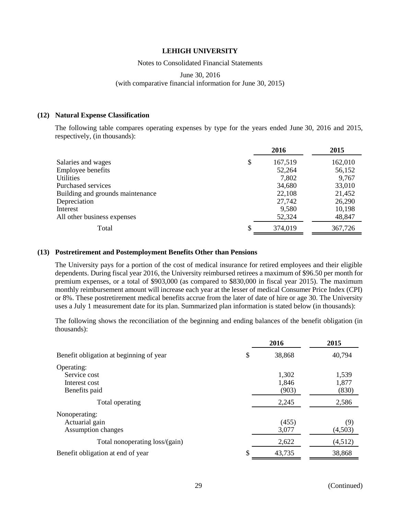#### Notes to Consolidated Financial Statements

June 30, 2016

(with comparative financial information for June 30, 2015)

#### **(12) Natural Expense Classification**

The following table compares operating expenses by type for the years ended June 30, 2016 and 2015, respectively, (in thousands):

|                                  | 2016          | 2015    |
|----------------------------------|---------------|---------|
| Salaries and wages               | \$<br>167,519 | 162,010 |
| <b>Employee benefits</b>         | 52,264        | 56,152  |
| Utilities                        | 7,802         | 9,767   |
| Purchased services               | 34,680        | 33,010  |
| Building and grounds maintenance | 22,108        | 21,452  |
| Depreciation                     | 27,742        | 26,290  |
| Interest                         | 9,580         | 10,198  |
| All other business expenses      | 52,324        | 48,847  |
| Total                            | 374,019       | 367,726 |

#### **(13) Postretirement and Postemployment Benefits Other than Pensions**

The University pays for a portion of the cost of medical insurance for retired employees and their eligible dependents. During fiscal year 2016, the University reimbursed retirees a maximum of \$96.50 per month for premium expenses, or a total of \$903,000 (as compared to \$830,000 in fiscal year 2015). The maximum monthly reimbursement amount will increase each year at the lesser of medical Consumer Price Index (CPI) or 8%. These postretirement medical benefits accrue from the later of date of hire or age 30. The University uses a July 1 measurement date for its plan. Summarized plan information is stated below (in thousands):

The following shows the reconciliation of the beginning and ending balances of the benefit obligation (in thousands):

|                                                              | 2016                    | 2015                    |
|--------------------------------------------------------------|-------------------------|-------------------------|
| Benefit obligation at beginning of year                      | \$<br>38,868            | 40,794                  |
| Operating:<br>Service cost<br>Interest cost<br>Benefits paid | 1,302<br>1,846<br>(903) | 1,539<br>1,877<br>(830) |
| Total operating                                              | 2,245                   | 2,586                   |
| Nonoperating:<br>Actuarial gain<br>Assumption changes        | (455)<br>3,077          | (9)<br>(4,503)          |
| Total nonoperating loss/(gain)                               | 2,622                   | (4,512)                 |
| Benefit obligation at end of year                            | \$<br>43,735            | 38,868                  |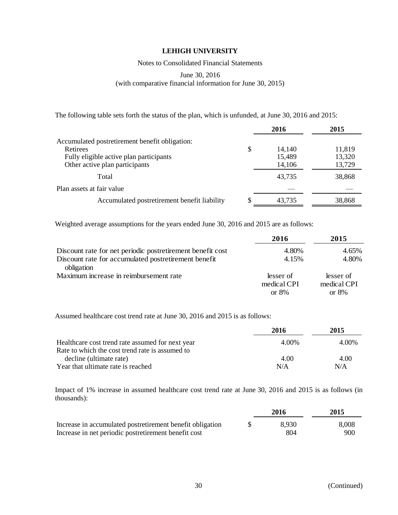Notes to Consolidated Financial Statements

# June 30, 2016 (with comparative financial information for June 30, 2015)

The following table sets forth the status of the plan, which is unfunded, at June 30, 2016 and 2015:

|                                                | 2016         | 2015   |
|------------------------------------------------|--------------|--------|
| Accumulated postretirement benefit obligation: |              |        |
| Retirees                                       | \$<br>14.140 | 11,819 |
| Fully eligible active plan participants        | 15,489       | 13,320 |
| Other active plan participants                 | 14,106       | 13,729 |
| Total                                          | 43,735       | 38,868 |
| Plan assets at fair value                      |              |        |
| Accumulated postretirement benefit liability   | 43.735       | 38,868 |

Weighted average assumptions for the years ended June 30, 2016 and 2015 are as follows:

|                                                                    | 2016                                | 2015                                |
|--------------------------------------------------------------------|-------------------------------------|-------------------------------------|
| Discount rate for net periodic postretirement benefit cost         | 4.80%                               | 4.65%                               |
| Discount rate for accumulated postretirement benefit<br>obligation | 4.15%                               | 4.80%                               |
| Maximum increase in reimbursement rate                             | lesser of<br>medical CPI<br>or $8%$ | lesser of<br>medical CPI<br>or $8%$ |

Assumed healthcare cost trend rate at June 30, 2016 and 2015 is as follows:

|                                                  | 2016  | 2015  |
|--------------------------------------------------|-------|-------|
| Healthcare cost trend rate assumed for next year | 4.00% | 4.00% |
| Rate to which the cost trend rate is assumed to  |       |       |
| decline (ultimate rate)                          | 4.00  | 4.00  |
| Year that ultimate rate is reached               | N/A   | N/A   |

Impact of 1% increase in assumed healthcare cost trend rate at June 30, 2016 and 2015 is as follows (in thousands):

|                                                           | 2016 |       | 2015  |  |
|-----------------------------------------------------------|------|-------|-------|--|
| Increase in accumulated postretirement benefit obligation |      | 8.930 | 8,008 |  |
| Increase in net periodic postretirement benefit cost      |      | 804   | 900   |  |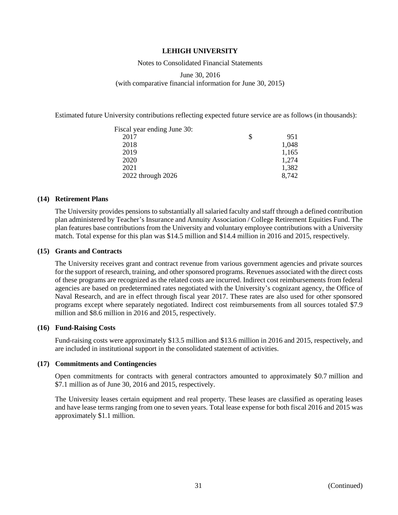Notes to Consolidated Financial Statements

June 30, 2016 (with comparative financial information for June 30, 2015)

Estimated future University contributions reflecting expected future service are as follows (in thousands):

| S | 951   |
|---|-------|
|   | 1,048 |
|   | 1,165 |
|   | 1,274 |
|   | 1,382 |
|   | 8,742 |
|   |       |

#### **(14) Retirement Plans**

The University provides pensions to substantially all salaried faculty and staff through a defined contribution plan administered by Teacher's Insurance and Annuity Association / College Retirement Equities Fund. The plan features base contributions from the University and voluntary employee contributions with a University match. Total expense for this plan was \$14.5 million and \$14.4 million in 2016 and 2015, respectively.

### **(15) Grants and Contracts**

The University receives grant and contract revenue from various government agencies and private sources for the support of research, training, and other sponsored programs. Revenues associated with the direct costs of these programs are recognized as the related costs are incurred. Indirect cost reimbursements from federal agencies are based on predetermined rates negotiated with the University's cognizant agency, the Office of Naval Research, and are in effect through fiscal year 2017. These rates are also used for other sponsored programs except where separately negotiated. Indirect cost reimbursements from all sources totaled \$7.9 million and \$8.6 million in 2016 and 2015, respectively.

#### **(16) Fund-Raising Costs**

Fund-raising costs were approximately \$13.5 million and \$13.6 million in 2016 and 2015, respectively, and are included in institutional support in the consolidated statement of activities.

#### **(17) Commitments and Contingencies**

Open commitments for contracts with general contractors amounted to approximately \$0.7 million and \$7.1 million as of June 30, 2016 and 2015, respectively.

The University leases certain equipment and real property. These leases are classified as operating leases and have lease terms ranging from one to seven years. Total lease expense for both fiscal 2016 and 2015 was approximately \$1.1 million.